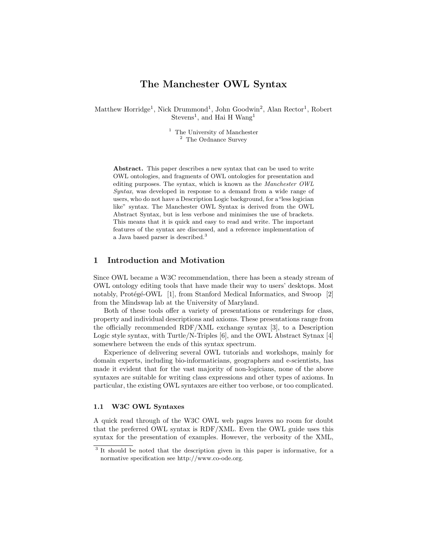# The Manchester OWL Syntax

Matthew Horridge<sup>1</sup>, Nick Drummond<sup>1</sup>, John Goodwin<sup>2</sup>, Alan Rector<sup>1</sup>, Robert Stevens<sup>1</sup>, and Hai H Wang<sup>1</sup>

> <sup>1</sup> The University of Manchester <sup>2</sup> The Ordnance Survey

Abstract. This paper describes a new syntax that can be used to write OWL ontologies, and fragments of OWL ontologies for presentation and editing purposes. The syntax, which is known as the Manchester OWL Syntax, was developed in response to a demand from a wide range of users, who do not have a Description Logic background, for a"less logician like" syntax. The Manchester OWL Syntax is derived from the OWL Abstract Syntax, but is less verbose and minimises the use of brackets. This means that it is quick and easy to read and write. The important features of the syntax are discussed, and a reference implementation of a Java based parser is described.<sup>3</sup>

### 1 Introduction and Motivation

Since OWL became a W3C recommendation, there has been a steady stream of OWL ontology editing tools that have made their way to users' desktops. Most notably, Protégé-OWL [1], from Stanford Medical Informatics, and Swoop [2] from the Mindswap lab at the University of Maryland.

Both of these tools offer a variety of presentations or renderings for class, property and individual descriptions and axioms. These presentations range from the officially recommended RDF/XML exchange syntax [3], to a Description Logic style syntax, with Turtle/N-Triples [6], and the OWL Abstract Sytnax [4] somewhere between the ends of this syntax spectrum.

Experience of delivering several OWL tutorials and workshops, mainly for domain experts, including bio-informaticians, geographers and e-scientists, has made it evident that for the vast majority of non-logicians, none of the above syntaxes are suitable for writing class expressions and other types of axioms. In particular, the existing OWL syntaxes are either too verbose, or too complicated.

#### 1.1 W3C OWL Syntaxes

A quick read through of the W3C OWL web pages leaves no room for doubt that the preferred OWL syntax is RDF/XML. Even the OWL guide uses this syntax for the presentation of examples. However, the verbosity of the XML,

<sup>&</sup>lt;sup>3</sup> It should be noted that the description given in this paper is informative, for a normative specification see http://www.co-ode.org.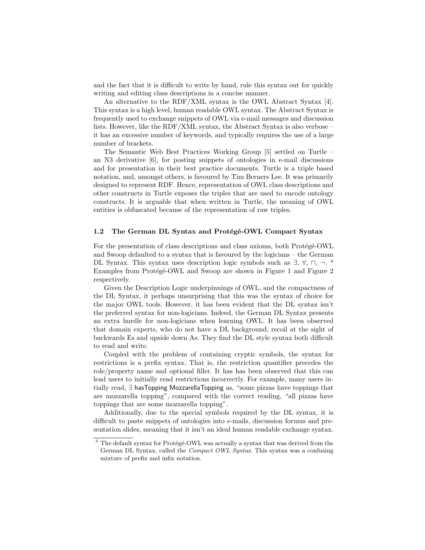and the fact that it is difficult to write by hand, rule this syntax out for quickly writing and editing class descriptions in a concise manner.

An alternative to the RDF/XML syntax is the OWL Abstract Syntax [4]. This syntax is a high level, human readable OWL syntax. The Abstract Syntax is frequently used to exchange snippets of OWL via e-mail messages and discussion lists. However, like the RDF/XML syntax, the Abstract Syntax is also verbose – it has an excessive number of keywords, and typically requires the use of a large number of brackets.

The Semantic Web Best Practices Working Group [5] settled on Turtle – an N3 derivative [6], for posting snippets of ontologies in e-mail discussions and for presentation in their best practice documents. Turtle is a triple based notation, and, amongst others, is favoured by Tim Berners Lee. It was primarily designed to represent RDF. Hence, representation of OWL class descriptions and other constructs in Turtle exposes the triples that are used to encode ontology constructs. It is arguable that when written in Turtle, the meaning of OWL entities is obfuscated because of the representation of raw triples.

#### 1.2 The German DL Syntax and Protégé-OWL Compact Syntax

For the presentation of class descriptions and class axioms, both Protégé-OWL and Swoop defaulted to a syntax that is favoured by the logicians – the German DL Syntax. This syntax uses description logic symbols such as  $\exists$ ,  $\forall$ ,  $\sqcap$ ,  $\neg$ . <sup>4</sup> Examples from Protégé-OWL and Swoop are shown in Figure 1 and Figure 2 respectively.

Given the Description Logic underpinnings of OWL, and the compactness of the DL Syntax, it perhaps unsurprising that this was the syntax of choice for the major OWL tools. However, it has been evident that the DL syntax isn't the preferred syntax for non-logicians. Indeed, the German DL Syntax presents an extra hurdle for non-logicians when learning OWL. It has been observed that domain experts, who do not have a DL background, recoil at the sight of backwards Es and upside down As. They find the DL style syntax both difficult to read and write.

Coupled with the problem of containing cryptic symbols, the syntax for restrictions is a prefix syntax. That is, the restriction quantifier precedes the role/property name and optional filler. It has has been observed that this can lead users to initially read restrictions incorrectly. For example, many users intially read, ∃ hasTopping MozzarellaTopping as, "some pizzas have toppings that are mozzarella topping", compared with the correct reading, "all pizzas have toppings that are some mozzarella topping".

Additionally, due to the special symbols required by the DL syntax, it is difficult to paste snippets of ontologies into e-mails, discussion forums and presentation slides, meaning that it isn't an ideal human readable exchange syntax.

 $4$  The default syntax for Protégé-OWL was actually a syntax that was derived from the German DL Syntax, called the Compact OWL Syntax. This syntax was a confusing mixture of prefix and infix notation.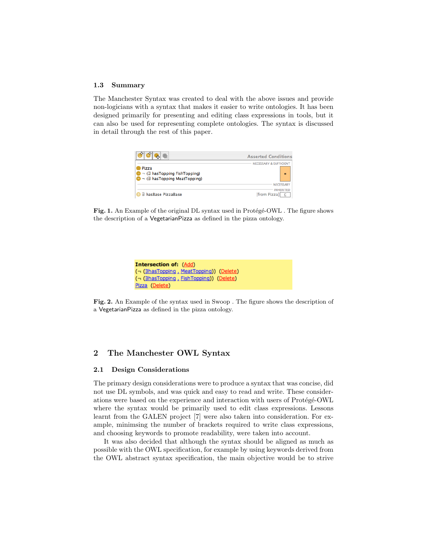#### 1.3 Summary

The Manchester Syntax was created to deal with the above issues and provide non-logicians with a syntax that makes it easier to write ontologies. It has been designed primarily for presenting and editing class expressions in tools, but it can also be used for representing complete ontologies. The syntax is discussed in detail through the rest of this paper.

| 吸                                                                                             | <b>Asserted Conditions</b>              |
|-----------------------------------------------------------------------------------------------|-----------------------------------------|
| Pizza<br>$\Box$ $\Box$ has Topping Fish Topping)<br>$\bigcirc$ - (3 has Topping Meat Topping) | <b>NECESSARY &amp; SUFFICIENT</b><br>Ξ  |
|                                                                                               | NECESSARY                               |
| 3 hasBase PizzaBase                                                                           | <b>INHERITED</b><br><b>Ifrom Pizzal</b> |

Fig. 1. An Example of the original DL syntax used in Protégé-OWL . The figure shows the description of a VegetarianPizza as defined in the pizza ontology.



Fig. 2. An Example of the syntax used in Swoop . The figure shows the description of a VegetarianPizza as defined in the pizza ontology.

# 2 The Manchester OWL Syntax

#### 2.1 Design Considerations

The primary design considerations were to produce a syntax that was concise, did not use DL symbols, and was quick and easy to read and write. These considerations were based on the experience and interaction with users of Protégé-OWL where the syntax would be primarily used to edit class expressions. Lessons learnt from the GALEN project [7] were also taken into consideration. For example, minimsing the number of brackets required to write class expressions, and choosing keywords to promote readability, were taken into account.

It was also decided that although the syntax should be aligned as much as possible with the OWL specification, for example by using keywords derived from the OWL abstract syntax specification, the main objective would be to strive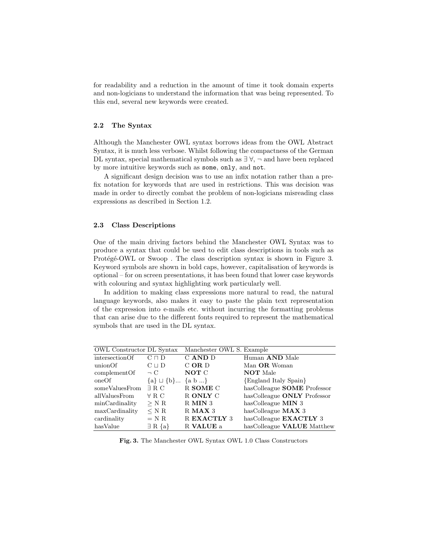for readability and a reduction in the amount of time it took domain experts and non-logicians to understand the information that was being represented. To this end, several new keywords were created.

#### 2.2 The Syntax

Although the Manchester OWL syntax borrows ideas from the OWL Abstract Syntax, it is much less verbose. Whilst following the compactness of the German DL syntax, special mathematical symbols such as  $\exists \forall$ ,  $\neg$  and have been replaced by more intuitive keywords such as some, only, and not.

A significant design decision was to use an infix notation rather than a prefix notation for keywords that are used in restrictions. This was decision was made in order to directly combat the problem of non-logicians misreading class expressions as described in Section 1.2.

#### 2.3 Class Descriptions

One of the main driving factors behind the Manchester OWL Syntax was to produce a syntax that could be used to edit class descriptions in tools such as Protégé-OWL or Swoop. The class description syntax is shown in Figure 3. Keyword symbols are shown in bold caps, however, capitalisation of keywords is optional – for on screen presentations, it has been found that lower case keywords with colouring and syntax highlighting work particularly well.

In addition to making class expressions more natural to read, the natural language keywords, also makes it easy to paste the plain text representation of the expression into e-mails etc. without incurring the formatting problems that can arise due to the different fonts required to represent the mathematical symbols that are used in the DL syntax.

| OWL Constructor DL Syntax |                               | Manchester OWL S. Example |                                    |
|---------------------------|-------------------------------|---------------------------|------------------------------------|
| intersectionOf            | $C \sqcap D$                  | C AND D                   | Human <b>AND</b> Male              |
| unionOf                   | $C \sqcup D$                  | $C$ OR $D$                | Man OR Woman                       |
| complementOf              | $\neg$ C                      | NOT C                     | <b>NOT</b> Male                    |
| oneOf                     | ${a} \sqcup {b}$ ${a} \sqcup$ |                           | {England Italy Spain}              |
| someValuesFrom            | $\exists$ R C                 | R SOME C                  | hasColleague <b>SOME</b> Professor |
| allValuesFrom             | $\forall$ R.C.                | R ONLY C                  | hasColleague ONLY Professor        |
| minCardinality            | $>$ N R                       | R MIN 3                   | has Colleague $\text{MIN}$ 3       |
| maxCardinality            | $<$ N R                       | $R$ MAX 3                 | has Colleague $MAX$ 3              |
| cardinality               | $= N R$                       | R EXACTLY 3               | hasColleague EXACTLY 3             |
| hasValue                  | $\exists R \{a\}$             | R VALUE a                 | hasColleague <b>VALUE</b> Matthew  |

Fig. 3. The Manchester OWL Syntax OWL 1.0 Class Constructors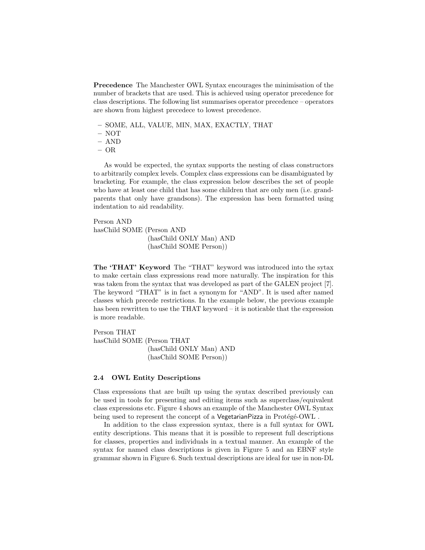Precedence The Manchester OWL Syntax encourages the minimisation of the number of brackets that are used. This is achieved using operator precedence for class descriptions. The following list summarises operator precedence – operators are shown from highest precedece to lowest precedence.

- SOME, ALL, VALUE, MIN, MAX, EXACTLY, THAT
- NOT
- AND
- OR

As would be expected, the syntax supports the nesting of class constructors to arbitrarily complex levels. Complex class expressions can be disambiguated by bracketing. For example, the class expression below describes the set of people who have at least one child that has some children that are only men (i.e. grandparents that only have grandsons). The expression has been formatted using indentation to aid readability.

Person AND hasChild SOME (Person AND (hasChild ONLY Man) AND (hasChild SOME Person))

The 'THAT' Keyword The "THAT" keyword was introduced into the sytax to make certain class expressions read more naturally. The inspiration for this was taken from the syntax that was developed as part of the GALEN project [7]. The keyword "THAT" is in fact a synonym for "AND". It is used after named classes which precede restrictions. In the example below, the previous example has been rewritten to use the THAT keyword – it is noticable that the expression is more readable.

Person THAT hasChild SOME (Person THAT (hasChild ONLY Man) AND (hasChild SOME Person))

#### 2.4 OWL Entity Descriptions

Class expressions that are built up using the syntax described previously can be used in tools for presenting and editing items such as superclass/equivalent class expressions etc. Figure 4 shows an example of the Manchester OWL Syntax being used to represent the concept of a VegetarianPizza in Protégé-OWL .

In addition to the class expression syntax, there is a full syntax for OWL entity descriptions. This means that it is possible to represent full descriptions for classes, properties and individuals in a textual manner. An example of the syntax for named class descriptions is given in Figure 5 and an EBNF style grammar shown in Figure 6. Such textual descriptions are ideal for use in non-DL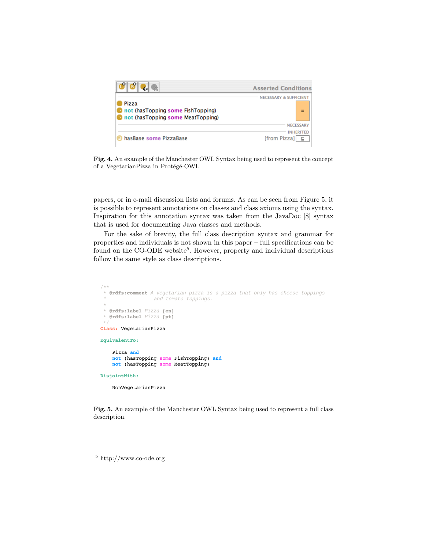

Fig. 4. An example of the Manchester OWL Syntax being used to represent the concept of a VegetarianPizza in Protégé-OWL

papers, or in e-mail discussion lists and forums. As can be seen from Figure 5, it is possible to represent annotations on classes and class axioms using the syntax. Inspiration for this annotation syntax was taken from the JavaDoc [8] syntax that is used for documenting Java classes and methods.

For the sake of brevity, the full class description syntax and grammar for properties and individuals is not shown in this paper – full specifications can be found on the CO-ODE website<sup>5</sup>. However, property and individual descriptions follow the same style as class descriptions.

```
/**
* @rdfs:comment A vegetarian pizza is a pizza that only has cheese toppings
                 and tomato toppings.
 *
 * @rdfs:label Pizza [en]
 * @rdfs:label Pizza [pt]
 */
Class: VegetarianPizza
EquivalentTo:
    Pizza and
    not (hasTopping some FishTopping) and
    not (hasTopping some MeatTopping)
DisjointWith:
    NonVegetarianPizza
```
Fig. 5. An example of the Manchester OWL Syntax being used to represent a full class description.

 $\frac{5}{5}$  http://www.co-ode.org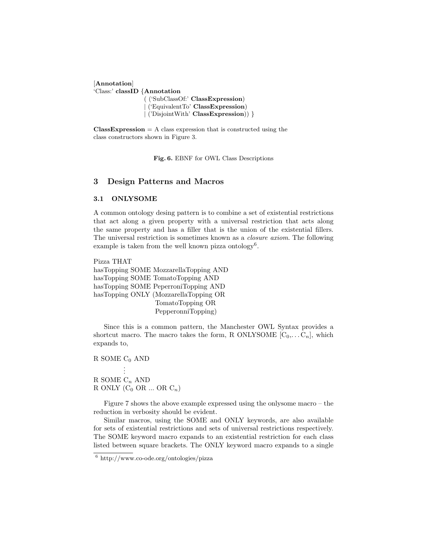[Annotation] 'Class:' classID {Annotation ( ('SubClassOf:' ClassExpression)

| ('EquivalentTo' ClassExpression) | ('DisjointWith' ClassExpression)) }

 $ClassExpression = A class expression that is constructed using the$ class constructors shown in Figure 3.

Fig. 6. EBNF for OWL Class Descriptions

### 3 Design Patterns and Macros

### 3.1 ONLYSOME

A common ontology desing pattern is to combine a set of existential restrictions that act along a given property with a universal restriction that acts along the same property and has a filler that is the union of the existential fillers. The universal restriction is sometimes known as a closure axiom. The following example is taken from the well known pizza ontology<sup>6</sup>.

Pizza THAT hasTopping SOME MozzarellaTopping AND hasTopping SOME TomatoTopping AND hasTopping SOME PeperroniTopping AND hasTopping ONLY (MozzarellaTopping OR TomatoTopping OR PepperonniTopping)

Since this is a common pattern, the Manchester OWL Syntax provides a shortcut macro. The macro takes the form, R ONLYSOME  $[C_0,...,C_n]$ , which expands to,

R SOME  $C_0$  AND . . . R SOME  $C_n$  AND R ONLY  $(C_0 \t{OR} ... \t{OR} C_n)$ 

Figure 7 shows the above example expressed using the onlysome macro – the reduction in verbosity should be evident.

Similar macros, using the SOME and ONLY keywords, are also available for sets of existential restrictions and sets of universal restrictions respectively. The SOME keyword macro expands to an existential restriction for each class listed between square brackets. The ONLY keyword macro expands to a single

<sup>6</sup> http://www.co-ode.org/ontologies/pizza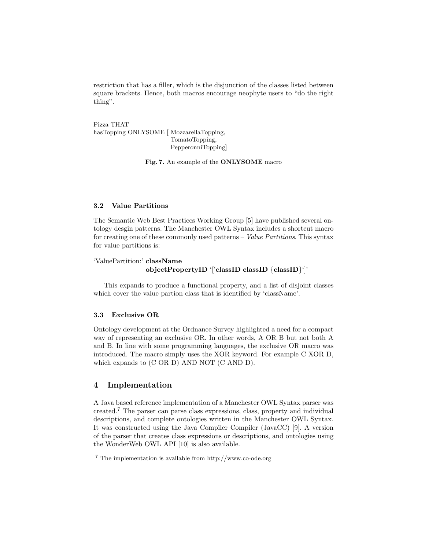restriction that has a filler, which is the disjunction of the classes listed between square brackets. Hence, both macros encourage neophyte users to "do the right thing".

Pizza THAT hasTopping ONLYSOME [ MozzarellaTopping, TomatoTopping, PepperonniTopping]

Fig. 7. An example of the ONLYSOME macro

### 3.2 Value Partitions

The Semantic Web Best Practices Working Group [5] have published several ontology desgin patterns. The Manchester OWL Syntax includes a shortcut macro for creating one of these commonly used patterns – Value Partitions. This syntax for value partitions is:

```
'ValuePartition:' className
               objectPropertyID '['classID classID {classID}']'
```
This expands to produce a functional property, and a list of disjoint classes which cover the value partion class that is identified by 'className'.

#### 3.3 Exclusive OR

Ontology development at the Ordnance Survey highlighted a need for a compact way of representing an exclusive OR. In other words, A OR B but not both A and B. In line with some programming languages, the exclusive OR macro was introduced. The macro simply uses the XOR keyword. For example C XOR D, which expands to (C OR D) AND NOT (C AND D).

## 4 Implementation

A Java based reference implementation of a Manchester OWL Syntax parser was created.<sup>7</sup> The parser can parse class expressions, class, property and individual descriptions, and complete ontologies written in the Manchester OWL Syntax. It was constructed using the Java Compiler Compiler (JavaCC) [9]. A version of the parser that creates class expressions or descriptions, and ontologies using the WonderWeb OWL API [10] is also available.

<sup>7</sup> The implementation is available from http://www.co-ode.org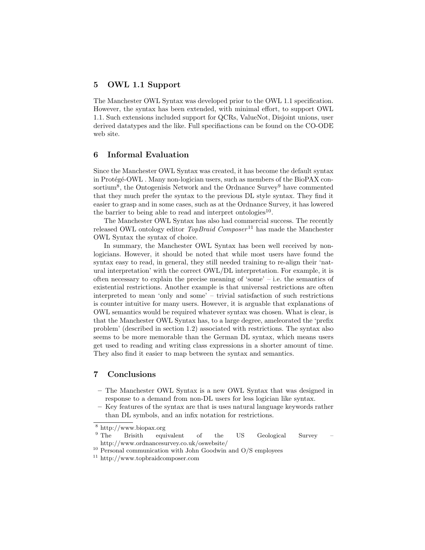# 5 OWL 1.1 Support

The Manchester OWL Syntax was developed prior to the OWL 1.1 specification. However, the syntax has been extended, with minimal effort, to support OWL 1.1. Such extensions included support for QCRs, ValueNot, Disjoint unions, user derived datatypes and the like. Full specifiactions can be found on the CO-ODE web site.

### 6 Informal Evaluation

Since the Manchester OWL Syntax was created, it has become the default syntax in Protégé-OWL . Many non-logician users, such as members of the BioPAX consortium<sup>8</sup>, the Ontogenisis Network and the Ordnance Survey<sup>9</sup> have commented that they much prefer the syntax to the previous DL style syntax. They find it easier to grasp and in some cases, such as at the Ordnance Survey, it has lowered the barrier to being able to read and interpret ontologies $^{10}$ .

The Manchester OWL Syntax has also had commercial success. The recently released OWL ontology editor  $TopBraid$  Composer<sup>11</sup> has made the Manchester OWL Syntax the syntax of choice.

In summary, the Manchester OWL Syntax has been well received by nonlogicians. However, it should be noted that while most users have found the syntax easy to read, in general, they still needed training to re-align their 'natural interpretation' with the correct OWL/DL interpretation. For example, it is often necessary to explain the precise meaning of 'some' – i.e. the semantics of existential restrictions. Another example is that universal restrictions are often interpreted to mean 'only and some' – trivial satisfaction of such restrictions is counter intuitive for many users. However, it is arguable that explanations of OWL semantics would be required whatever syntax was chosen. What is clear, is that the Manchester OWL Syntax has, to a large degree, ameleorated the 'prefix problem' (described in section 1.2) associated with restrictions. The syntax also seems to be more memorable than the German DL syntax, which means users get used to reading and writing class expressions in a shorter amount of time. They also find it easier to map between the syntax and semantics.

## 7 Conclusions

- The Manchester OWL Syntax is a new OWL Syntax that was designed in response to a demand from non-DL users for less logician like syntax.
- Key features of the syntax are that is uses natural language keywords rather than DL symbols, and an infix notation for restrictions.

 $\frac{8 \text{ http://www.biopax.org}}{9 \text{ The}}$ 

Brisith equivalent of the US Geological Survey http://www.ordnancesurvey.co.uk/oswebsite/

 $10$  Personal communication with John Goodwin and O/S employees

<sup>11</sup> http://www.topbraidcomposer.com